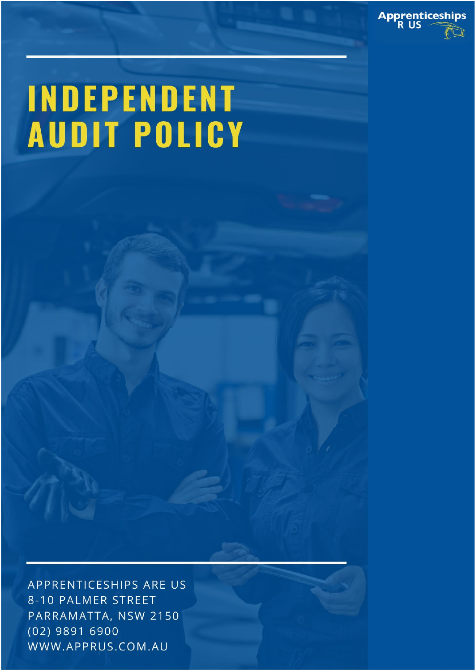

## INDEPENDENT **AUDIT POLICY**

APPRENTICESHIPS ARE US 8-10 PALMER STREET PARRAMATTA, NSW 2150  $(02)$  9891 6900 WWW.APPRUS.COM.AU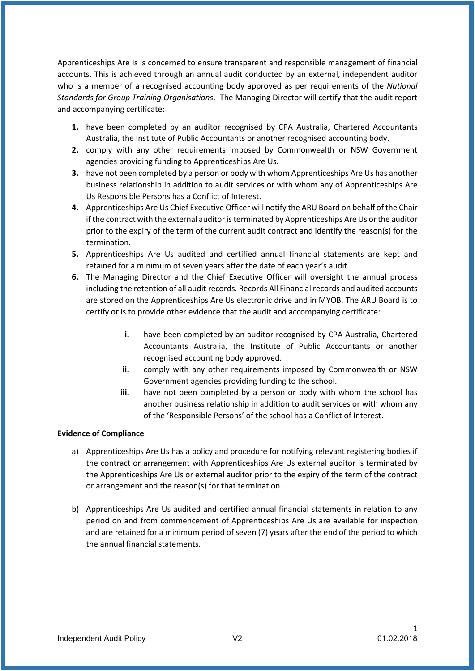Apprenticeships Are Is is concerned to ensure transparent and responsible management of financial accounts. This is achieved through an annual audit conducted by an external, independent auditor who is a member of a recognised accounting body approved as per requirements of the *National Standards for Group Training Organisations*. The Managing Director will certify that the audit report and accompanying certificate:

- **1.** have been completed by an auditor recognised by CPA Australia, Chartered Accountants Australia, the Institute of Public Accountants or another recognised accounting body.
- **2.** comply with any other requirements imposed by Commonwealth or NSW Government agencies providing funding to Apprenticeships Are Us.
- **3.** have not been completed by a person or body with whom Apprenticeships Are Us has another business relationship in addition to audit services or with whom any of Apprenticeships Are Us Responsible Persons has a Conflict of Interest.
- **4.** Apprenticeships Are Us Chief Executive Officer will notify the ARU Board on behalf of the Chair if the contract with the external auditor is terminated by Apprenticeships Are Us or the auditor prior to the expiry of the term of the current audit contract and identify the reason(s) for the termination.
- **5.** Apprenticeships Are Us audited and certified annual financial statements are kept and retained for a minimum of seven years after the date of each year's audit.
- **6.** The Managing Director and the Chief Executive Officer will oversight the annual process including the retention of all audit records. Records All Financial records and audited accounts are stored on the Apprenticeships Are Us electronic drive and in MYOB. The ARU Board is to certify or is to provide other evidence that the audit and accompanying certificate:
	- **i.** have been completed by an auditor recognised by CPA Australia, Chartered Accountants Australia, the Institute of Public Accountants or another recognised accounting body approved.
	- **ii.** comply with any other requirements imposed by Commonwealth or NSW Government agencies providing funding to the school.
	- **iii.** have not been completed by a person or body with whom the school has another business relationship in addition to audit services or with whom any of the 'Responsible Persons' of the school has a Conflict of Interest.

## **Evidence of Compliance**

- a) Apprenticeships Are Us has a policy and procedure for notifying relevant registering bodies if the contract or arrangement with Apprenticeships Are Us external auditor is terminated by the Apprenticeships Are Us or external auditor prior to the expiry of the term of the contract or arrangement and the reason(s) for that termination.
- b) Apprenticeships Are Us audited and certified annual financial statements in relation to any period on and from commencement of Apprenticeships Are Us are available for inspection and are retained for a minimum period of seven (7) years after the end of the period to which the annual financial statements.